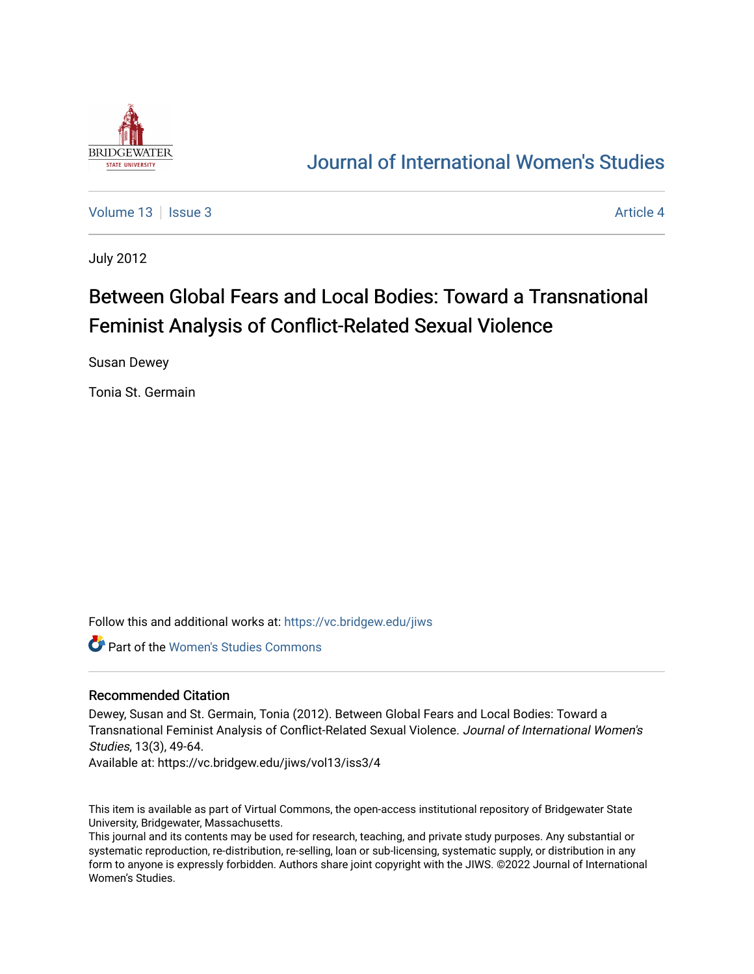

## [Journal of International Women's Studies](https://vc.bridgew.edu/jiws)

[Volume 13](https://vc.bridgew.edu/jiws/vol13) Setus 2 [Article 4](https://vc.bridgew.edu/jiws/vol13/iss3/4) Article 4 Article 4 Article 4 Article 4 Article 4 Article 4

July 2012

# Between Global Fears and Local Bodies: Toward a Transnational Feminist Analysis of Conflict-Related Sexual Violence

Susan Dewey

Tonia St. Germain

Follow this and additional works at: [https://vc.bridgew.edu/jiws](https://vc.bridgew.edu/jiws?utm_source=vc.bridgew.edu%2Fjiws%2Fvol13%2Fiss3%2F4&utm_medium=PDF&utm_campaign=PDFCoverPages)

Part of the [Women's Studies Commons](http://network.bepress.com/hgg/discipline/561?utm_source=vc.bridgew.edu%2Fjiws%2Fvol13%2Fiss3%2F4&utm_medium=PDF&utm_campaign=PDFCoverPages) 

### Recommended Citation

Dewey, Susan and St. Germain, Tonia (2012). Between Global Fears and Local Bodies: Toward a Transnational Feminist Analysis of Conflict-Related Sexual Violence. Journal of International Women's Studies, 13(3), 49-64.

Available at: https://vc.bridgew.edu/jiws/vol13/iss3/4

This item is available as part of Virtual Commons, the open-access institutional repository of Bridgewater State University, Bridgewater, Massachusetts.

This journal and its contents may be used for research, teaching, and private study purposes. Any substantial or systematic reproduction, re-distribution, re-selling, loan or sub-licensing, systematic supply, or distribution in any form to anyone is expressly forbidden. Authors share joint copyright with the JIWS. ©2022 Journal of International Women's Studies.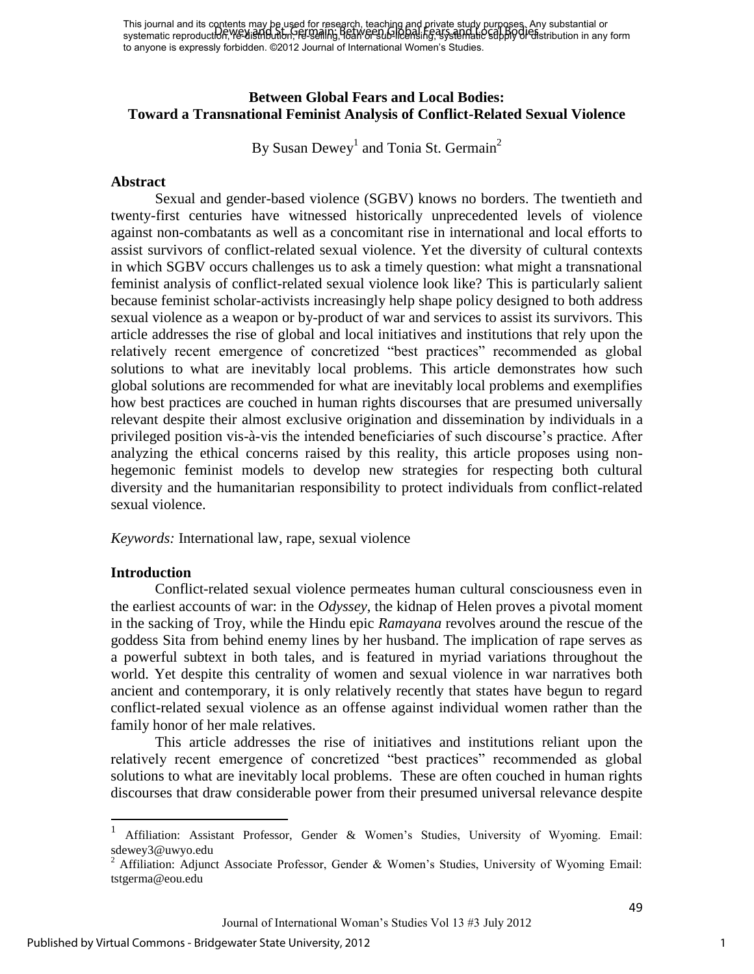This journal and its contents may be used for research, teaching and private study purposes. Any substantial or This journal and its equities may be asserted in secondly have a ling and the step, being Bodies in a step substantial or substantial or to anyone is expressly forbidden. ©2012 Journal of International Women's Studies.

## **Between Global Fears and Local Bodies: Toward a Transnational Feminist Analysis of Conflict-Related Sexual Violence**

By Susan Dewey<sup>1</sup> and Tonia St. Germain<sup>2</sup>

#### **Abstract**

Sexual and gender-based violence (SGBV) knows no borders. The twentieth and twenty-first centuries have witnessed historically unprecedented levels of violence against non-combatants as well as a concomitant rise in international and local efforts to assist survivors of conflict-related sexual violence. Yet the diversity of cultural contexts in which SGBV occurs challenges us to ask a timely question: what might a transnational feminist analysis of conflict-related sexual violence look like? This is particularly salient because feminist scholar-activists increasingly help shape policy designed to both address sexual violence as a weapon or by-product of war and services to assist its survivors. This article addresses the rise of global and local initiatives and institutions that rely upon the relatively recent emergence of concretized "best practices" recommended as global solutions to what are inevitably local problems. This article demonstrates how such global solutions are recommended for what are inevitably local problems and exemplifies how best practices are couched in human rights discourses that are presumed universally relevant despite their almost exclusive origination and dissemination by individuals in a privileged position vis-à-vis the intended beneficiaries of such discourse"s practice. After analyzing the ethical concerns raised by this reality, this article proposes using nonhegemonic feminist models to develop new strategies for respecting both cultural diversity and the humanitarian responsibility to protect individuals from conflict-related sexual violence.

*Keywords:* International law, rape, sexual violence

### **Introduction**

 $\overline{\phantom{a}}$ 

Conflict-related sexual violence permeates human cultural consciousness even in the earliest accounts of war: in the *Odyssey*, the kidnap of Helen proves a pivotal moment in the sacking of Troy, while the Hindu epic *Ramayana* revolves around the rescue of the goddess Sita from behind enemy lines by her husband. The implication of rape serves as a powerful subtext in both tales, and is featured in myriad variations throughout the world. Yet despite this centrality of women and sexual violence in war narratives both ancient and contemporary, it is only relatively recently that states have begun to regard conflict-related sexual violence as an offense against individual women rather than the family honor of her male relatives.

This article addresses the rise of initiatives and institutions reliant upon the relatively recent emergence of concretized "best practices" recommended as global solutions to what are inevitably local problems. These are often couched in human rights discourses that draw considerable power from their presumed universal relevance despite

<sup>1</sup> Affiliation: Assistant Professor, Gender & Women"s Studies, University of Wyoming. Email: sdewey3@uwyo.edu<br><sup>2</sup> Affiliation: Adjunct Associate Professor, Gender & Women's Studies, University of Wyoming Email:

[tstgerma@eou.edu](mailto:tstgerma@eou.edu)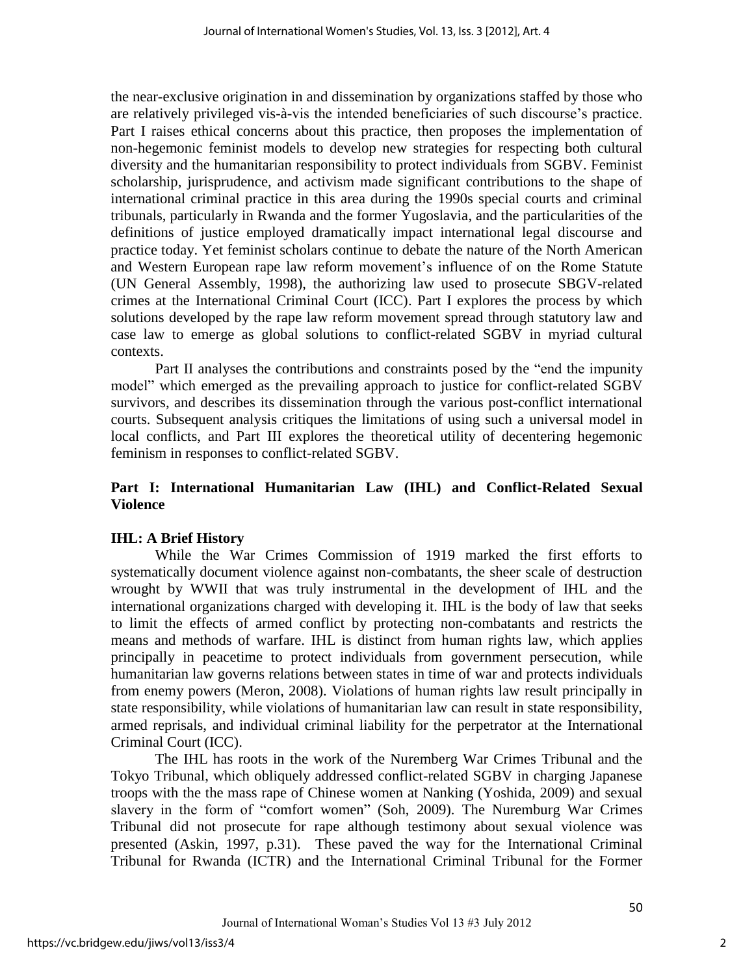the near-exclusive origination in and dissemination by organizations staffed by those who are relatively privileged vis-à-vis the intended beneficiaries of such discourse"s practice. Part I raises ethical concerns about this practice, then proposes the implementation of non-hegemonic feminist models to develop new strategies for respecting both cultural diversity and the humanitarian responsibility to protect individuals from SGBV. Feminist scholarship, jurisprudence, and activism made significant contributions to the shape of international criminal practice in this area during the 1990s special courts and criminal tribunals, particularly in Rwanda and the former Yugoslavia, and the particularities of the definitions of justice employed dramatically impact international legal discourse and practice today. Yet feminist scholars continue to debate the nature of the North American and Western European rape law reform movement's influence of on the Rome Statute (UN General Assembly, 1998), the authorizing law used to prosecute SBGV-related crimes at the International Criminal Court (ICC). Part I explores the process by which solutions developed by the rape law reform movement spread through statutory law and case law to emerge as global solutions to conflict-related SGBV in myriad cultural contexts.

 Part II analyses the contributions and constraints posed by the "end the impunity model" which emerged as the prevailing approach to justice for conflict-related SGBV survivors, and describes its dissemination through the various post-conflict international courts. Subsequent analysis critiques the limitations of using such a universal model in local conflicts, and Part III explores the theoretical utility of decentering hegemonic feminism in responses to conflict-related SGBV.

## **Part I: International Humanitarian Law (IHL) and Conflict-Related Sexual Violence**

## **IHL: A Brief History**

While the War Crimes Commission of 1919 marked the first efforts to systematically document violence against non-combatants, the sheer scale of destruction wrought by WWII that was truly instrumental in the development of IHL and the international organizations charged with developing it. IHL is the body of law that seeks to limit the effects of armed conflict by protecting non-combatants and restricts the means and methods of warfare. IHL is distinct from human rights law, which applies principally in peacetime to protect individuals from government persecution, while humanitarian law governs relations between states in time of war and protects individuals from enemy powers (Meron, 2008). Violations of human rights law result principally in state responsibility, while violations of humanitarian law can result in state responsibility, armed reprisals, and individual criminal liability for the perpetrator at the International Criminal Court (ICC).

The IHL has roots in the work of the Nuremberg War Crimes Tribunal and the Tokyo Tribunal, which obliquely addressed conflict-related SGBV in charging Japanese troops with the the mass rape of Chinese women at Nanking (Yoshida, 2009) and sexual slavery in the form of "comfort women" (Soh, 2009). The Nuremburg War Crimes Tribunal did not prosecute for rape although testimony about sexual violence was presented (Askin, 1997, p.31). These paved the way for the International Criminal Tribunal for Rwanda (ICTR) and the International Criminal Tribunal for the Former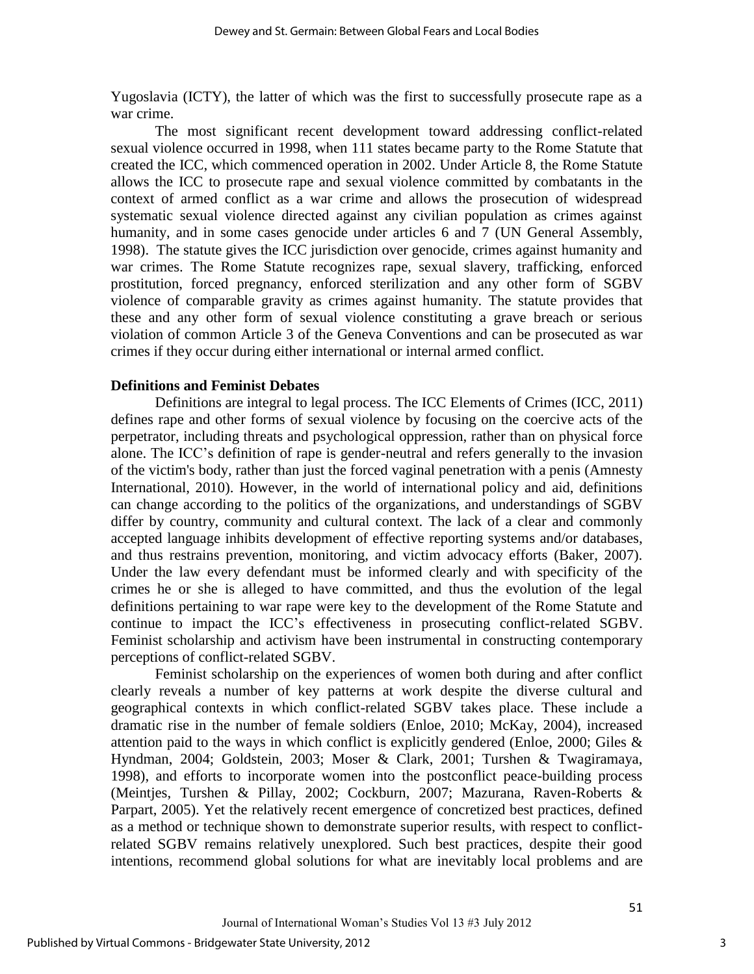Yugoslavia (ICTY), the latter of which was the first to successfully prosecute rape as a war crime.

The most significant recent development toward addressing conflict-related sexual violence occurred in 1998, when 111 states became party to the Rome Statute that created the ICC, which commenced operation in 2002. Under Article 8, the Rome Statute allows the ICC to prosecute rape and sexual violence committed by combatants in the context of armed conflict as a war crime and allows the prosecution of widespread systematic sexual violence directed against any civilian population as crimes against humanity, and in some cases genocide under articles 6 and 7 (UN General Assembly, 1998). The statute gives the ICC jurisdiction over genocide, crimes against humanity and war crimes. The Rome Statute recognizes rape, sexual slavery, trafficking, enforced prostitution, forced pregnancy, enforced sterilization and any other form of SGBV violence of comparable gravity as crimes against humanity. The statute provides that these and any other form of sexual violence constituting a grave breach or serious violation of common Article 3 of the Geneva Conventions and can be prosecuted as war crimes if they occur during either international or internal armed conflict.

#### **Definitions and Feminist Debates**

Definitions are integral to legal process. The ICC Elements of Crimes (ICC, 2011) defines rape and other forms of sexual violence by focusing on the coercive acts of the perpetrator, including threats and psychological oppression, rather than on physical force alone. The ICC"s definition of rape is gender-neutral and refers generally to the invasion of the victim's body, rather than just the forced vaginal penetration with a penis (Amnesty International, 2010). However, in the world of international policy and aid, definitions can change according to the politics of the organizations, and understandings of SGBV differ by country, community and cultural context. The lack of a clear and commonly accepted language inhibits development of effective reporting systems and/or databases, and thus restrains prevention, monitoring, and victim advocacy efforts (Baker, 2007). Under the law every defendant must be informed clearly and with specificity of the crimes he or she is alleged to have committed, and thus the evolution of the legal definitions pertaining to war rape were key to the development of the Rome Statute and continue to impact the ICC"s effectiveness in prosecuting conflict-related SGBV. Feminist scholarship and activism have been instrumental in constructing contemporary perceptions of conflict-related SGBV.

 Feminist scholarship on the experiences of women both during and after conflict clearly reveals a number of key patterns at work despite the diverse cultural and geographical contexts in which conflict-related SGBV takes place. These include a dramatic rise in the number of female soldiers (Enloe, 2010; McKay, 2004), increased attention paid to the ways in which conflict is explicitly gendered (Enloe, 2000; Giles  $\&$ Hyndman, 2004; Goldstein, 2003; Moser & Clark, 2001; Turshen & Twagiramaya, 1998), and efforts to incorporate women into the postconflict peace-building process (Meintjes, Turshen & Pillay, 2002; Cockburn, 2007; Mazurana, Raven-Roberts & Parpart, 2005). Yet the relatively recent emergence of concretized best practices, defined as a method or technique shown to demonstrate superior results, with respect to conflictrelated SGBV remains relatively unexplored. Such best practices, despite their good intentions, recommend global solutions for what are inevitably local problems and are

3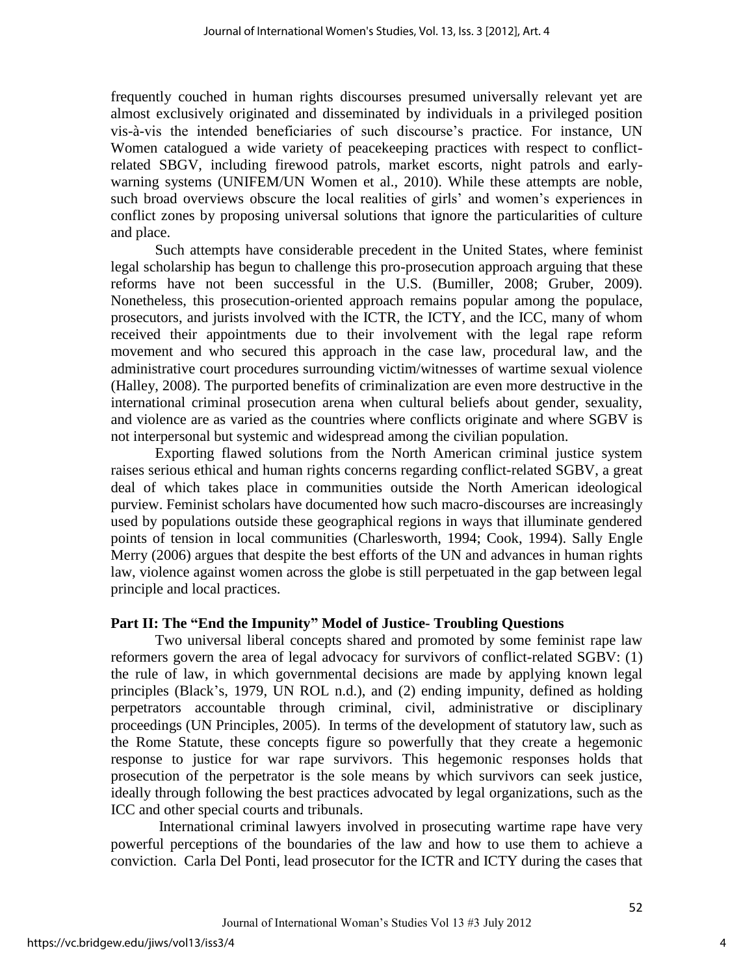frequently couched in human rights discourses presumed universally relevant yet are almost exclusively originated and disseminated by individuals in a privileged position vis-à-vis the intended beneficiaries of such discourse"s practice. For instance, UN Women catalogued a wide variety of peacekeeping practices with respect to conflictrelated SBGV, including firewood patrols, market escorts, night patrols and earlywarning systems (UNIFEM/UN Women et al., 2010). While these attempts are noble, such broad overviews obscure the local realities of girls' and women's experiences in conflict zones by proposing universal solutions that ignore the particularities of culture and place.

Such attempts have considerable precedent in the United States, where feminist legal scholarship has begun to challenge this pro-prosecution approach arguing that these reforms have not been successful in the U.S. (Bumiller, 2008; Gruber, 2009). Nonetheless, this prosecution-oriented approach remains popular among the populace, prosecutors, and jurists involved with the ICTR, the ICTY, and the ICC, many of whom received their appointments due to their involvement with the legal rape reform movement and who secured this approach in the case law, procedural law, and the administrative court procedures surrounding victim/witnesses of wartime sexual violence (Halley, 2008). The purported benefits of criminalization are even more destructive in the international criminal prosecution arena when cultural beliefs about gender, sexuality, and violence are as varied as the countries where conflicts originate and where SGBV is not interpersonal but systemic and widespread among the civilian population.

Exporting flawed solutions from the North American criminal justice system raises serious ethical and human rights concerns regarding conflict-related SGBV, a great deal of which takes place in communities outside the North American ideological purview. Feminist scholars have documented how such macro-discourses are increasingly used by populations outside these geographical regions in ways that illuminate gendered points of tension in local communities (Charlesworth, 1994; Cook, 1994). Sally Engle Merry (2006) argues that despite the best efforts of the UN and advances in human rights law, violence against women across the globe is still perpetuated in the gap between legal principle and local practices.

## **Part II: The "End the Impunity" Model of Justice- Troubling Questions**

Two universal liberal concepts shared and promoted by some feminist rape law reformers govern the area of legal advocacy for survivors of conflict-related SGBV: (1) the rule of law, in which governmental decisions are made by applying known legal principles (Black"s, 1979, UN ROL n.d.), and (2) ending impunity, defined as holding perpetrators accountable through criminal, civil, administrative or disciplinary proceedings (UN Principles, 2005). In terms of the development of statutory law, such as the Rome Statute, these concepts figure so powerfully that they create a hegemonic response to justice for war rape survivors. This hegemonic responses holds that prosecution of the perpetrator is the sole means by which survivors can seek justice, ideally through following the best practices advocated by legal organizations, such as the ICC and other special courts and tribunals.

 International criminal lawyers involved in prosecuting wartime rape have very powerful perceptions of the boundaries of the law and how to use them to achieve a conviction. Carla Del Ponti, lead prosecutor for the ICTR and ICTY during the cases that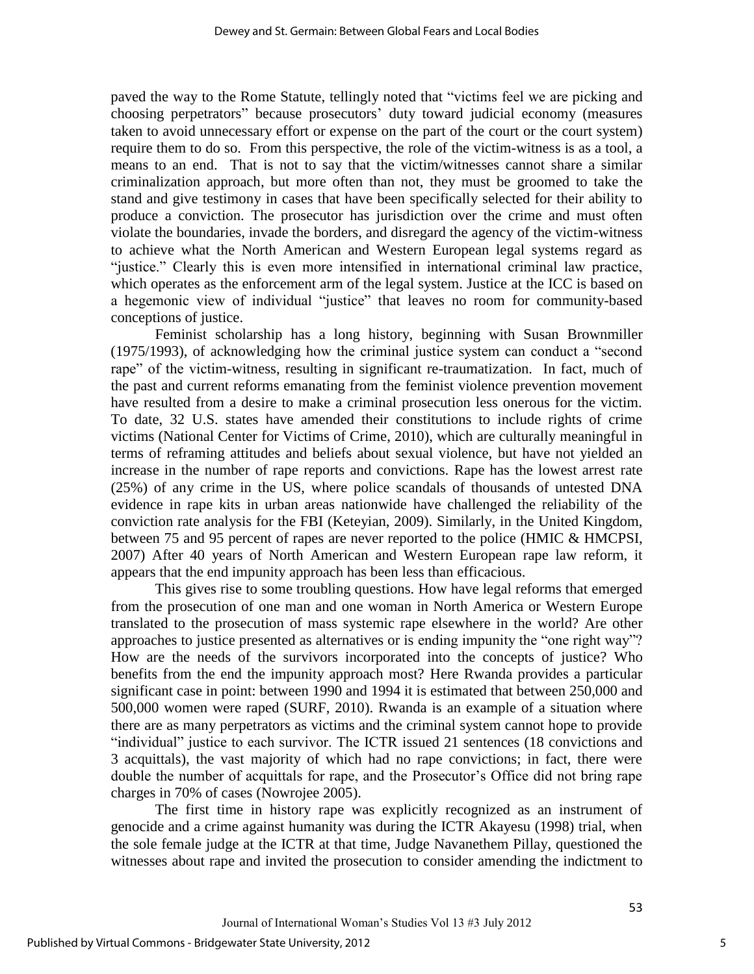paved the way to the Rome Statute, tellingly noted that "victims feel we are picking and choosing perpetrators" because prosecutors" duty toward judicial economy (measures taken to avoid unnecessary effort or expense on the part of the court or the court system) require them to do so. From this perspective, the role of the victim-witness is as a tool, a means to an end. That is not to say that the victim/witnesses cannot share a similar criminalization approach, but more often than not, they must be groomed to take the stand and give testimony in cases that have been specifically selected for their ability to produce a conviction. The prosecutor has jurisdiction over the crime and must often violate the boundaries, invade the borders, and disregard the agency of the victim-witness to achieve what the North American and Western European legal systems regard as "justice." Clearly this is even more intensified in international criminal law practice, which operates as the enforcement arm of the legal system. Justice at the ICC is based on a hegemonic view of individual "justice" that leaves no room for community-based conceptions of justice.

Feminist scholarship has a long history, beginning with Susan Brownmiller (1975/1993), of acknowledging how the criminal justice system can conduct a "second rape" of the victim-witness, resulting in significant re-traumatization. In fact, much of the past and current reforms emanating from the feminist violence prevention movement have resulted from a desire to make a criminal prosecution less onerous for the victim. To date, 32 U.S. states have amended their constitutions to include rights of crime victims (National Center for Victims of Crime, 2010), which are culturally meaningful in terms of reframing attitudes and beliefs about sexual violence, but have not yielded an increase in the number of rape reports and convictions. Rape has the lowest arrest rate (25%) of any crime in the US, where police scandals of thousands of untested DNA evidence in rape kits in urban areas nationwide have challenged the reliability of the conviction rate analysis for the FBI (Keteyian, 2009). Similarly, in the United Kingdom, between 75 and 95 percent of rapes are never reported to the police (HMIC & HMCPSI, 2007) After 40 years of North American and Western European rape law reform, it appears that the end impunity approach has been less than efficacious.

This gives rise to some troubling questions. How have legal reforms that emerged from the prosecution of one man and one woman in North America or Western Europe translated to the prosecution of mass systemic rape elsewhere in the world? Are other approaches to justice presented as alternatives or is ending impunity the "one right way"? How are the needs of the survivors incorporated into the concepts of justice? Who benefits from the end the impunity approach most? Here Rwanda provides a particular significant case in point: between 1990 and 1994 it is estimated that between 250,000 and 500,000 women were raped (SURF, 2010). Rwanda is an example of a situation where there are as many perpetrators as victims and the criminal system cannot hope to provide "individual" justice to each survivor. The ICTR issued 21 sentences (18 convictions and 3 acquittals), the vast majority of which had no rape convictions; in fact, there were double the number of acquittals for rape, and the Prosecutor's Office did not bring rape charges in 70% of cases (Nowrojee 2005).

The first time in history rape was explicitly recognized as an instrument of genocide and a crime against humanity was during the ICTR Akayesu (1998) trial, when the sole female judge at the ICTR at that time, Judge Navanethem Pillay, questioned the witnesses about rape and invited the prosecution to consider amending the indictment to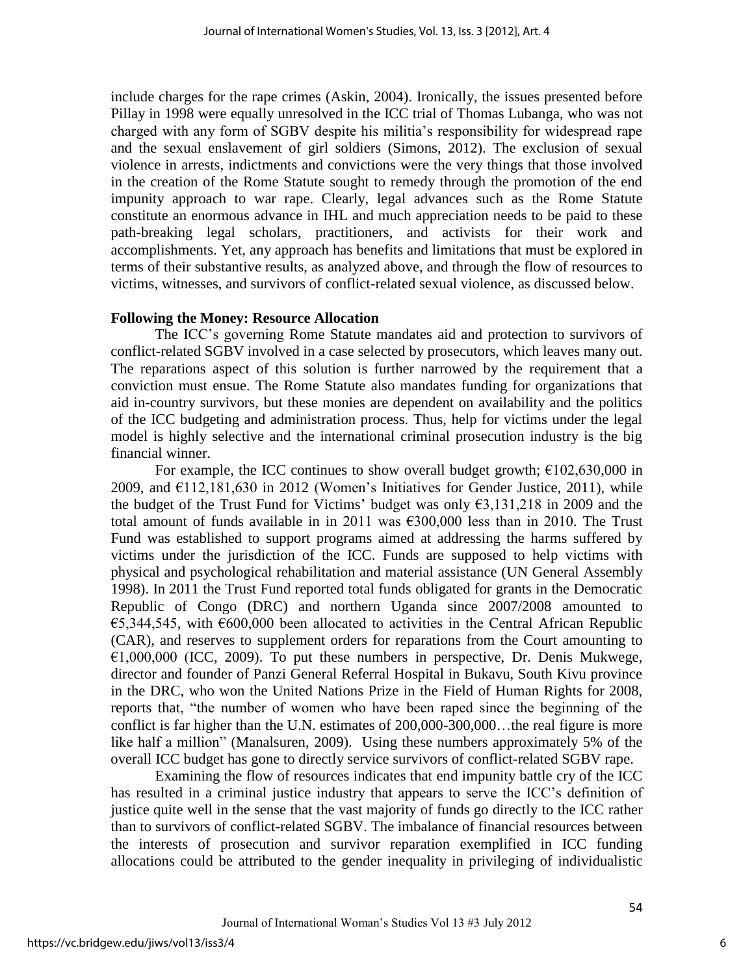include charges for the rape crimes (Askin, 2004). Ironically, the issues presented before Pillay in 1998 were equally unresolved in the ICC trial of Thomas Lubanga, who was not charged with any form of SGBV despite his militia"s responsibility for widespread rape and the sexual enslavement of girl soldiers (Simons, 2012). The exclusion of sexual violence in arrests, indictments and convictions were the very things that those involved in the creation of the Rome Statute sought to remedy through the promotion of the end impunity approach to war rape. Clearly, legal advances such as the Rome Statute constitute an enormous advance in IHL and much appreciation needs to be paid to these path-breaking legal scholars, practitioners, and activists for their work and accomplishments. Yet, any approach has benefits and limitations that must be explored in terms of their substantive results, as analyzed above, and through the flow of resources to victims, witnesses, and survivors of conflict-related sexual violence, as discussed below.

## **Following the Money: Resource Allocation**

The ICC"s governing Rome Statute mandates aid and protection to survivors of conflict-related SGBV involved in a case selected by prosecutors, which leaves many out. The reparations aspect of this solution is further narrowed by the requirement that a conviction must ensue. The Rome Statute also mandates funding for organizations that aid in-country survivors, but these monies are dependent on availability and the politics of the ICC budgeting and administration process. Thus, help for victims under the legal model is highly selective and the international criminal prosecution industry is the big financial winner.

For example, the ICC continues to show overall budget growth;  $\epsilon$ 102,630,000 in 2009, and  $E112,181,630$  in 2012 (Women's Initiatives for Gender Justice, 2011), while the budget of the Trust Fund for Victims' budget was only  $\epsilon$ 3,131,218 in 2009 and the total amount of funds available in in 2011 was  $6300,000$  less than in 2010. The Trust Fund was established to support programs aimed at addressing the harms suffered by victims under the jurisdiction of the ICC. Funds are supposed to help victims with physical and psychological rehabilitation and material assistance (UN General Assembly 1998). In 2011 the Trust Fund reported total funds obligated for grants in the Democratic Republic of Congo (DRC) and northern Uganda since 2007/2008 amounted to €5,344,545, with  $€600,000$  been allocated to activities in the Central African Republic (CAR), and reserves to supplement orders for reparations from the Court amounting to  $E1,000,000$  (ICC, 2009). To put these numbers in perspective, Dr. Denis Mukwege, director and founder of Panzi General Referral Hospital in Bukavu, South Kivu province in the DRC, who won the United Nations Prize in the Field of Human Rights for 2008, reports that, "the number of women who have been raped since the beginning of the conflict is far higher than the U.N. estimates of 200,000-300,000…the real figure is more like half a million" (Manalsuren, 2009). Using these numbers approximately 5% of the overall ICC budget has gone to directly service survivors of conflict-related SGBV rape.

Examining the flow of resources indicates that end impunity battle cry of the ICC has resulted in a criminal justice industry that appears to serve the ICC"s definition of justice quite well in the sense that the vast majority of funds go directly to the ICC rather than to survivors of conflict-related SGBV. The imbalance of financial resources between the interests of prosecution and survivor reparation exemplified in ICC funding allocations could be attributed to the gender inequality in privileging of individualistic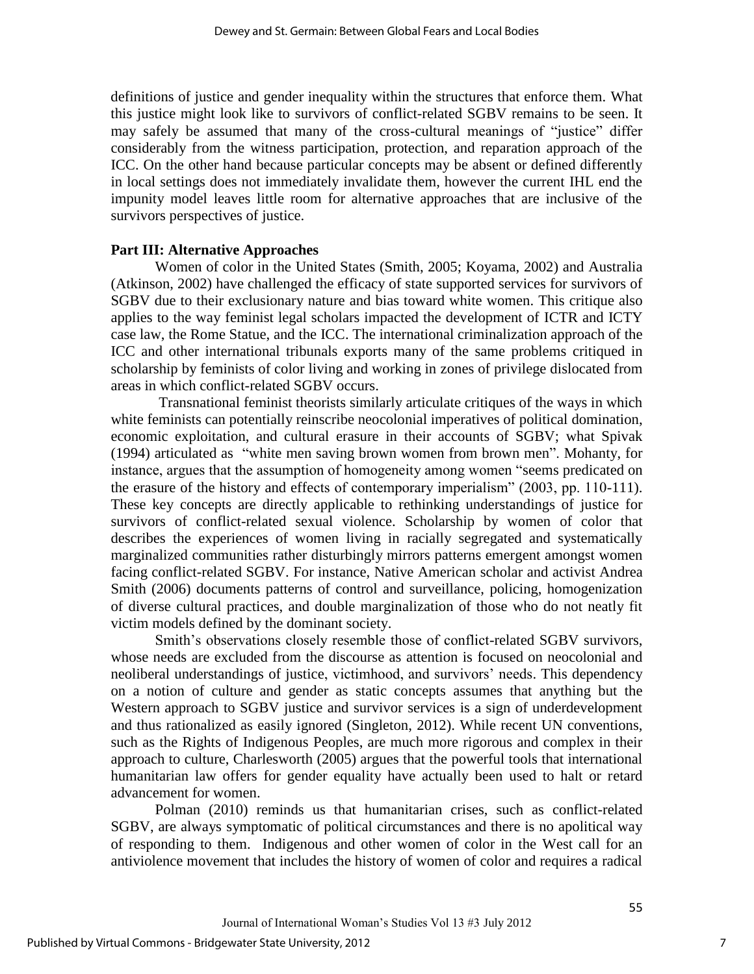definitions of justice and gender inequality within the structures that enforce them. What this justice might look like to survivors of conflict-related SGBV remains to be seen. It may safely be assumed that many of the cross-cultural meanings of "justice" differ considerably from the witness participation, protection, and reparation approach of the ICC. On the other hand because particular concepts may be absent or defined differently in local settings does not immediately invalidate them, however the current IHL end the impunity model leaves little room for alternative approaches that are inclusive of the survivors perspectives of justice.

#### **Part III: Alternative Approaches**

Women of color in the United States (Smith, 2005; Koyama, 2002) and Australia (Atkinson, 2002) have challenged the efficacy of state supported services for survivors of SGBV due to their exclusionary nature and bias toward white women. This critique also applies to the way feminist legal scholars impacted the development of ICTR and ICTY case law, the Rome Statue, and the ICC. The international criminalization approach of the ICC and other international tribunals exports many of the same problems critiqued in scholarship by feminists of color living and working in zones of privilege dislocated from areas in which conflict-related SGBV occurs.

Transnational feminist theorists similarly articulate critiques of the ways in which white feminists can potentially reinscribe neocolonial imperatives of political domination, economic exploitation, and cultural erasure in their accounts of SGBV; what Spivak (1994) articulated as "white men saving brown women from brown men". Mohanty, for instance, argues that the assumption of homogeneity among women "seems predicated on the erasure of the history and effects of contemporary imperialism" (2003, pp. 110-111). These key concepts are directly applicable to rethinking understandings of justice for survivors of conflict-related sexual violence. Scholarship by women of color that describes the experiences of women living in racially segregated and systematically marginalized communities rather disturbingly mirrors patterns emergent amongst women facing conflict-related SGBV. For instance, Native American scholar and activist Andrea Smith (2006) documents patterns of control and surveillance, policing, homogenization of diverse cultural practices, and double marginalization of those who do not neatly fit victim models defined by the dominant society.

Smith's observations closely resemble those of conflict-related SGBV survivors, whose needs are excluded from the discourse as attention is focused on neocolonial and neoliberal understandings of justice, victimhood, and survivors' needs. This dependency on a notion of culture and gender as static concepts assumes that anything but the Western approach to SGBV justice and survivor services is a sign of underdevelopment and thus rationalized as easily ignored (Singleton, 2012). While recent UN conventions, such as the Rights of Indigenous Peoples, are much more rigorous and complex in their approach to culture, Charlesworth (2005) argues that the powerful tools that international humanitarian law offers for gender equality have actually been used to halt or retard advancement for women.

Polman (2010) reminds us that humanitarian crises, such as conflict-related SGBV, are always symptomatic of political circumstances and there is no apolitical way of responding to them. Indigenous and other women of color in the West call for an antiviolence movement that includes the history of women of color and requires a radical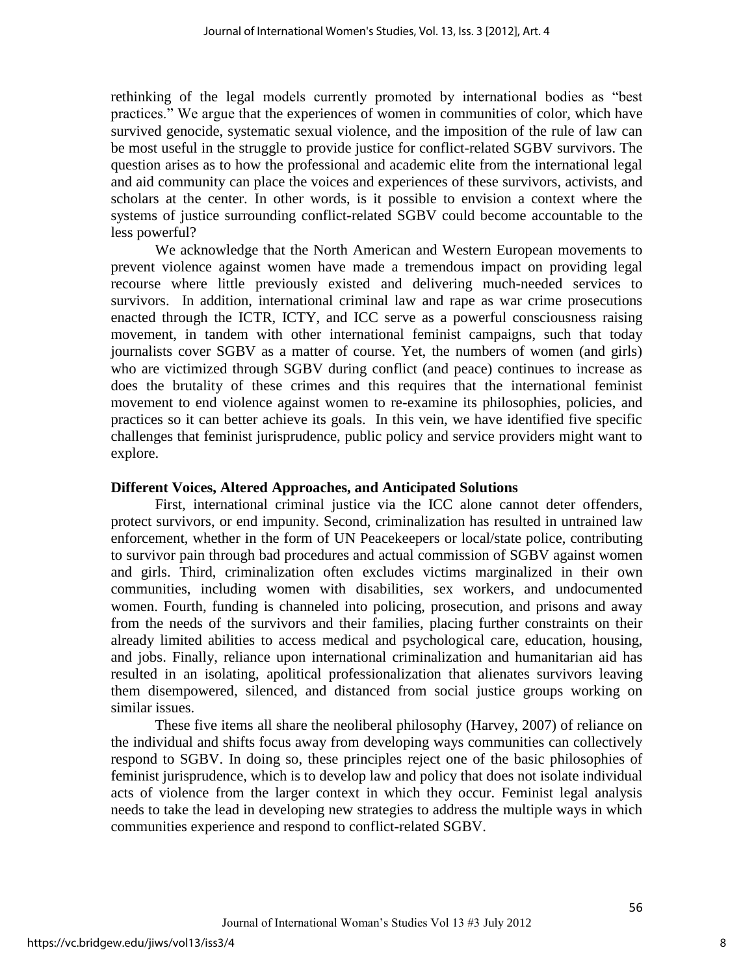rethinking of the legal models currently promoted by international bodies as "best practices." We argue that the experiences of women in communities of color, which have survived genocide, systematic sexual violence, and the imposition of the rule of law can be most useful in the struggle to provide justice for conflict-related SGBV survivors. The question arises as to how the professional and academic elite from the international legal and aid community can place the voices and experiences of these survivors, activists, and scholars at the center. In other words, is it possible to envision a context where the systems of justice surrounding conflict-related SGBV could become accountable to the less powerful?

We acknowledge that the North American and Western European movements to prevent violence against women have made a tremendous impact on providing legal recourse where little previously existed and delivering much-needed services to survivors. In addition, international criminal law and rape as war crime prosecutions enacted through the ICTR, ICTY, and ICC serve as a powerful consciousness raising movement, in tandem with other international feminist campaigns, such that today journalists cover SGBV as a matter of course. Yet, the numbers of women (and girls) who are victimized through SGBV during conflict (and peace) continues to increase as does the brutality of these crimes and this requires that the international feminist movement to end violence against women to re-examine its philosophies, policies, and practices so it can better achieve its goals. In this vein, we have identified five specific challenges that feminist jurisprudence, public policy and service providers might want to explore.

### **Different Voices, Altered Approaches, and Anticipated Solutions**

First, international criminal justice via the ICC alone cannot deter offenders, protect survivors, or end impunity. Second, criminalization has resulted in untrained law enforcement, whether in the form of UN Peacekeepers or local/state police, contributing to survivor pain through bad procedures and actual commission of SGBV against women and girls. Third, criminalization often excludes victims marginalized in their own communities, including women with disabilities, sex workers, and undocumented women. Fourth, funding is channeled into policing, prosecution, and prisons and away from the needs of the survivors and their families, placing further constraints on their already limited abilities to access medical and psychological care, education, housing, and jobs. Finally, reliance upon international criminalization and humanitarian aid has resulted in an isolating, apolitical professionalization that alienates survivors leaving them disempowered, silenced, and distanced from social justice groups working on similar issues.

These five items all share the neoliberal philosophy (Harvey, 2007) of reliance on the individual and shifts focus away from developing ways communities can collectively respond to SGBV. In doing so, these principles reject one of the basic philosophies of feminist jurisprudence, which is to develop law and policy that does not isolate individual acts of violence from the larger context in which they occur. Feminist legal analysis needs to take the lead in developing new strategies to address the multiple ways in which communities experience and respond to conflict-related SGBV.

8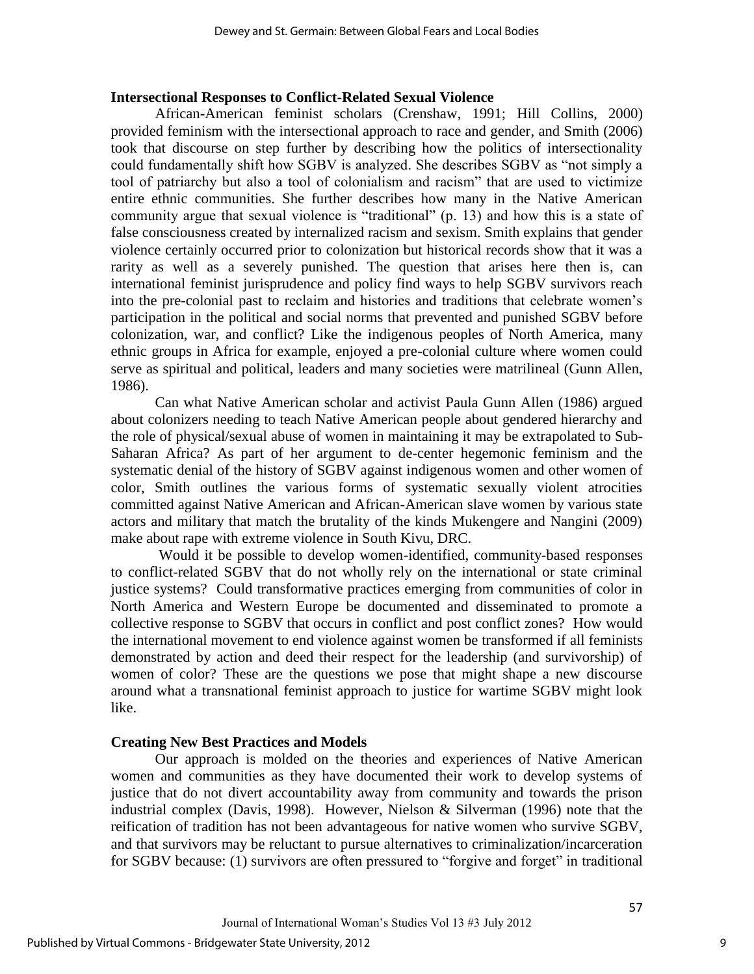#### **Intersectional Responses to Conflict-Related Sexual Violence**

African**-**American feminist scholars (Crenshaw, 1991; Hill Collins, 2000) provided feminism with the intersectional approach to race and gender, and Smith (2006) took that discourse on step further by describing how the politics of intersectionality could fundamentally shift how SGBV is analyzed. She describes SGBV as "not simply a tool of patriarchy but also a tool of colonialism and racism" that are used to victimize entire ethnic communities. She further describes how many in the Native American community argue that sexual violence is "traditional" (p. 13) and how this is a state of false consciousness created by internalized racism and sexism. Smith explains that gender violence certainly occurred prior to colonization but historical records show that it was a rarity as well as a severely punished. The question that arises here then is, can international feminist jurisprudence and policy find ways to help SGBV survivors reach into the pre-colonial past to reclaim and histories and traditions that celebrate women"s participation in the political and social norms that prevented and punished SGBV before colonization, war, and conflict? Like the indigenous peoples of North America, many ethnic groups in Africa for example, enjoyed a pre-colonial culture where women could serve as spiritual and political, leaders and many societies were matrilineal (Gunn Allen, 1986).

Can what Native American scholar and activist Paula Gunn Allen (1986) argued about colonizers needing to teach Native American people about gendered hierarchy and the role of physical/sexual abuse of women in maintaining it may be extrapolated to Sub-Saharan Africa? As part of her argument to de-center hegemonic feminism and the systematic denial of the history of SGBV against indigenous women and other women of color, Smith outlines the various forms of systematic sexually violent atrocities committed against Native American and African-American slave women by various state actors and military that match the brutality of the kinds Mukengere and Nangini (2009) make about rape with extreme violence in South Kivu, DRC.

Would it be possible to develop women-identified, community-based responses to conflict-related SGBV that do not wholly rely on the international or state criminal justice systems? Could transformative practices emerging from communities of color in North America and Western Europe be documented and disseminated to promote a collective response to SGBV that occurs in conflict and post conflict zones? How would the international movement to end violence against women be transformed if all feminists demonstrated by action and deed their respect for the leadership (and survivorship) of women of color? These are the questions we pose that might shape a new discourse around what a transnational feminist approach to justice for wartime SGBV might look like.

### **Creating New Best Practices and Models**

Our approach is molded on the theories and experiences of Native American women and communities as they have documented their work to develop systems of justice that do not divert accountability away from community and towards the prison industrial complex (Davis, 1998). However, Nielson & Silverman (1996) note that the reification of tradition has not been advantageous for native women who survive SGBV, and that survivors may be reluctant to pursue alternatives to criminalization/incarceration for SGBV because: (1) survivors are often pressured to "forgive and forget" in traditional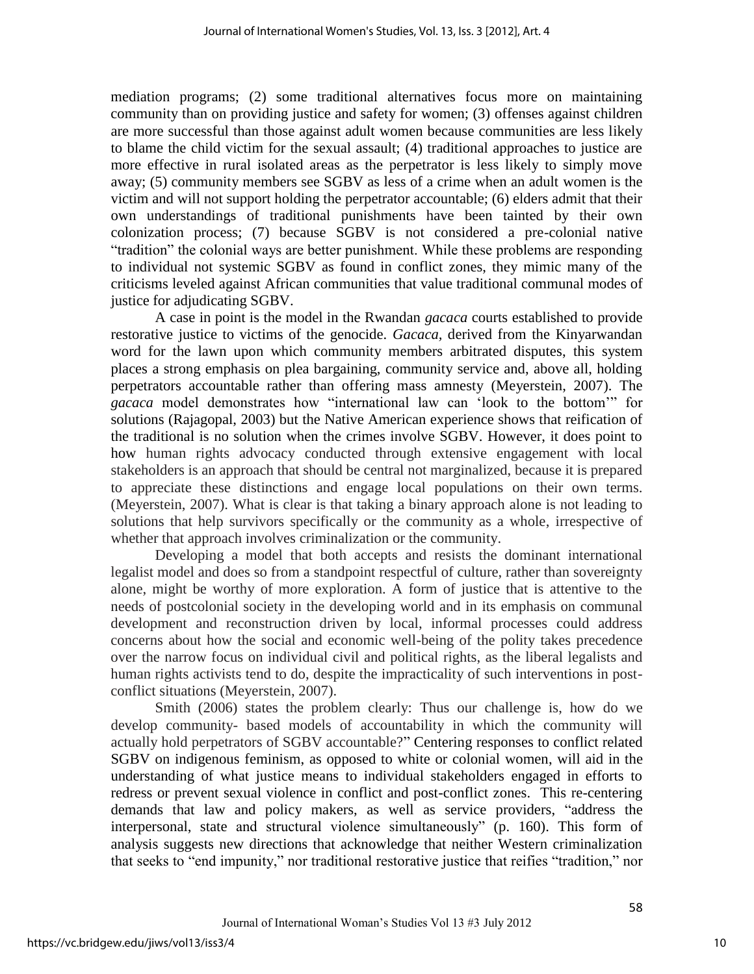mediation programs; (2) some traditional alternatives focus more on maintaining community than on providing justice and safety for women; (3) offenses against children are more successful than those against adult women because communities are less likely to blame the child victim for the sexual assault; (4) traditional approaches to justice are more effective in rural isolated areas as the perpetrator is less likely to simply move away; (5) community members see SGBV as less of a crime when an adult women is the victim and will not support holding the perpetrator accountable; (6) elders admit that their own understandings of traditional punishments have been tainted by their own colonization process; (7) because SGBV is not considered a pre-colonial native "tradition" the colonial ways are better punishment. While these problems are responding to individual not systemic SGBV as found in conflict zones, they mimic many of the criticisms leveled against African communities that value traditional communal modes of justice for adjudicating SGBV.

A case in point is the model in the Rwandan *gacaca* courts established to provide restorative justice to victims of the genocide. *Gacaca,* derived from the Kinyarwandan word for the lawn upon which community members arbitrated disputes, this system places a strong emphasis on plea bargaining, community service and, above all, holding perpetrators accountable rather than offering mass amnesty (Meyerstein, 2007). The *gacaca* model demonstrates how "international law can "look to the bottom"" for solutions (Rajagopal, 2003) but the Native American experience shows that reification of the traditional is no solution when the crimes involve SGBV. However, it does point to how human rights advocacy conducted through extensive engagement with local stakeholders is an approach that should be central not marginalized, because it is prepared to appreciate these distinctions and engage local populations on their own terms. (Meyerstein, 2007). What is clear is that taking a binary approach alone is not leading to solutions that help survivors specifically or the community as a whole, irrespective of whether that approach involves criminalization or the community.

Developing a model that both accepts and resists the dominant international legalist model and does so from a standpoint respectful of culture, rather than sovereignty alone, might be worthy of more exploration. A form of justice that is attentive to the needs of postcolonial society in the developing world and in its emphasis on communal development and reconstruction driven by local, informal processes could address concerns about how the social and economic well-being of the polity takes precedence over the narrow focus on individual civil and political rights, as the liberal legalists and human rights activists tend to do, despite the impracticality of such interventions in postconflict situations (Meyerstein, 2007).

Smith (2006) states the problem clearly: Thus our challenge is, how do we develop community- based models of accountability in which the community will actually hold perpetrators of SGBV accountable?" Centering responses to conflict related SGBV on indigenous feminism, as opposed to white or colonial women, will aid in the understanding of what justice means to individual stakeholders engaged in efforts to redress or prevent sexual violence in conflict and post-conflict zones. This re-centering demands that law and policy makers, as well as service providers, "address the interpersonal, state and structural violence simultaneously" (p. 160). This form of analysis suggests new directions that acknowledge that neither Western criminalization that seeks to "end impunity," nor traditional restorative justice that reifies "tradition," nor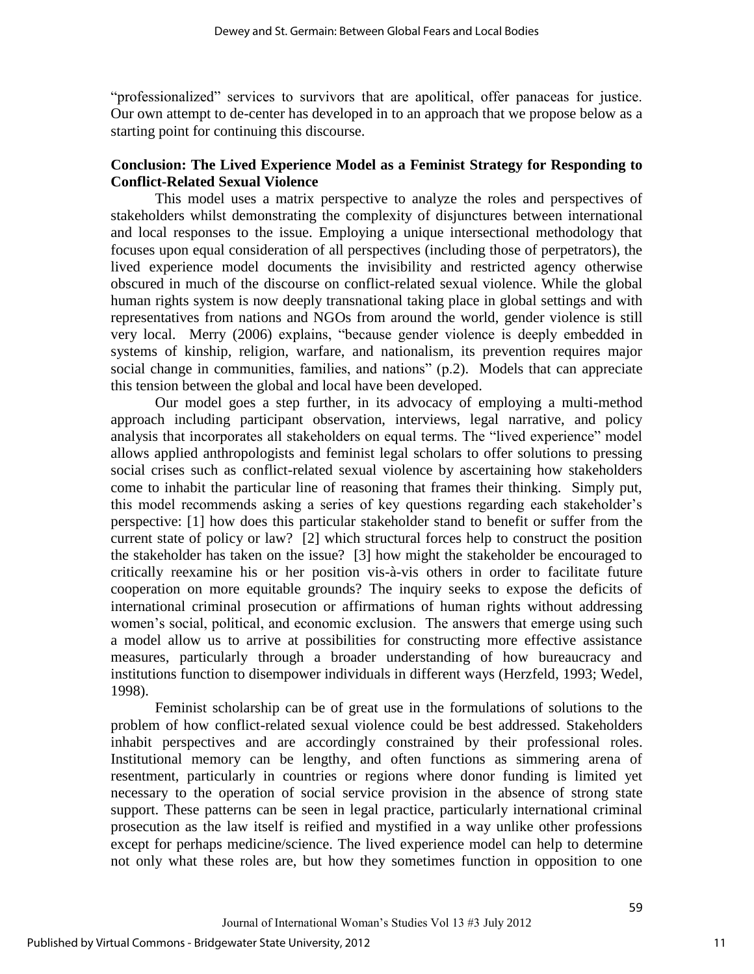"professionalized" services to survivors that are apolitical, offer panaceas for justice. Our own attempt to de-center has developed in to an approach that we propose below as a starting point for continuing this discourse.

## **Conclusion: The Lived Experience Model as a Feminist Strategy for Responding to Conflict-Related Sexual Violence**

This model uses a matrix perspective to analyze the roles and perspectives of stakeholders whilst demonstrating the complexity of disjunctures between international and local responses to the issue. Employing a unique intersectional methodology that focuses upon equal consideration of all perspectives (including those of perpetrators), the lived experience model documents the invisibility and restricted agency otherwise obscured in much of the discourse on conflict-related sexual violence. While the global human rights system is now deeply transnational taking place in global settings and with representatives from nations and NGOs from around the world, gender violence is still very local. Merry (2006) explains, "because gender violence is deeply embedded in systems of kinship, religion, warfare, and nationalism, its prevention requires major social change in communities, families, and nations" (p.2). Models that can appreciate this tension between the global and local have been developed.

 Our model goes a step further, in its advocacy of employing a multi-method approach including participant observation, interviews, legal narrative, and policy analysis that incorporates all stakeholders on equal terms. The "lived experience" model allows applied anthropologists and feminist legal scholars to offer solutions to pressing social crises such as conflict-related sexual violence by ascertaining how stakeholders come to inhabit the particular line of reasoning that frames their thinking. Simply put, this model recommends asking a series of key questions regarding each stakeholder"s perspective: [1] how does this particular stakeholder stand to benefit or suffer from the current state of policy or law? [2] which structural forces help to construct the position the stakeholder has taken on the issue? [3] how might the stakeholder be encouraged to critically reexamine his or her position vis-à-vis others in order to facilitate future cooperation on more equitable grounds? The inquiry seeks to expose the deficits of international criminal prosecution or affirmations of human rights without addressing women's social, political, and economic exclusion. The answers that emerge using such a model allow us to arrive at possibilities for constructing more effective assistance measures, particularly through a broader understanding of how bureaucracy and institutions function to disempower individuals in different ways (Herzfeld, 1993; Wedel, 1998).

Feminist scholarship can be of great use in the formulations of solutions to the problem of how conflict-related sexual violence could be best addressed. Stakeholders inhabit perspectives and are accordingly constrained by their professional roles. Institutional memory can be lengthy, and often functions as simmering arena of resentment, particularly in countries or regions where donor funding is limited yet necessary to the operation of social service provision in the absence of strong state support. These patterns can be seen in legal practice, particularly international criminal prosecution as the law itself is reified and mystified in a way unlike other professions except for perhaps medicine/science. The lived experience model can help to determine not only what these roles are, but how they sometimes function in opposition to one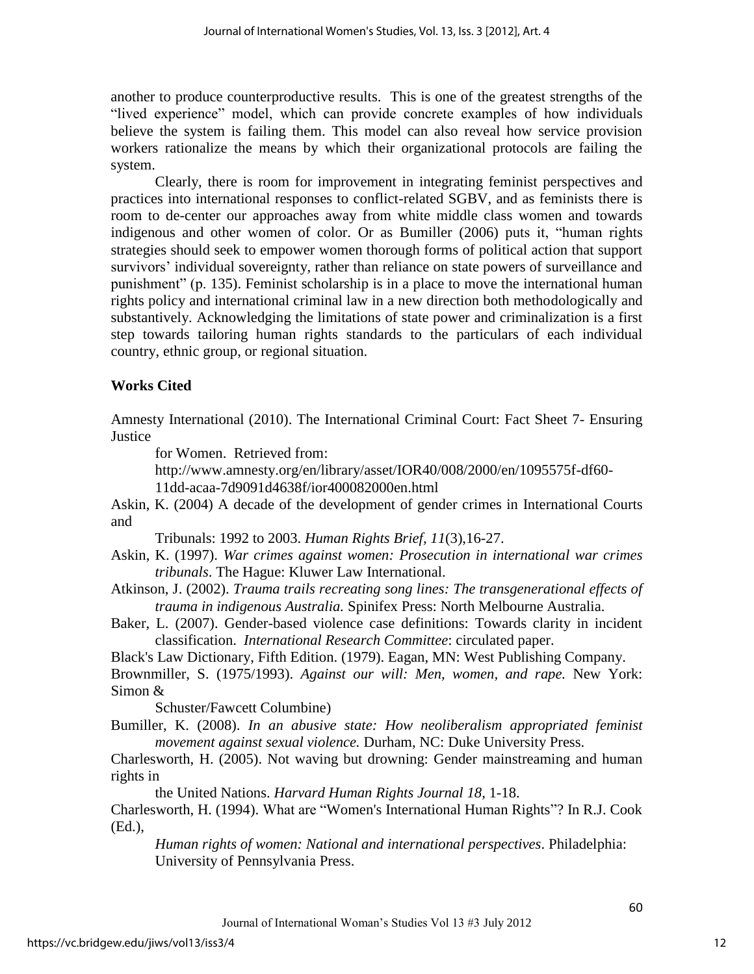another to produce counterproductive results. This is one of the greatest strengths of the "lived experience" model, which can provide concrete examples of how individuals believe the system is failing them. This model can also reveal how service provision workers rationalize the means by which their organizational protocols are failing the system.

Clearly, there is room for improvement in integrating feminist perspectives and practices into international responses to conflict-related SGBV, and as feminists there is room to de-center our approaches away from white middle class women and towards indigenous and other women of color. Or as Bumiller (2006) puts it, "human rights strategies should seek to empower women thorough forms of political action that support survivors' individual sovereignty, rather than reliance on state powers of surveillance and punishment" (p. 135). Feminist scholarship is in a place to move the international human rights policy and international criminal law in a new direction both methodologically and substantively. Acknowledging the limitations of state power and criminalization is a first step towards tailoring human rights standards to the particulars of each individual country, ethnic group, or regional situation.

## **Works Cited**

Amnesty International (2010). The International Criminal Court: Fact Sheet 7- Ensuring **Justice** 

for Women. Retrieved from:

[http://www.amnesty.org/en/library/asset/IOR40/008/2000/en/1095575f-df60-](http://www.amnesty.org/en/library/asset/IOR40/008/2000/en/1095575f-df60-11dd-acaa-) [11dd-acaa-7](http://www.amnesty.org/en/library/asset/IOR40/008/2000/en/1095575f-df60-11dd-acaa-)d9091d4638f/ior400082000en.html

Askin, K. (2004) A decade of the development of gender crimes in International Courts and

Tribunals: 1992 to 2003. *Human Rights Brief, 11*(3),16-27.

Askin, K. (1997). *War crimes against women: Prosecution in international war crimes tribunals*. The Hague: Kluwer Law International.

- Atkinson, J. (2002). *Trauma trails recreating song lines: The transgenerational effects of trauma in indigenous Australia.* Spinifex Press: North Melbourne Australia.
- Baker, L. (2007). Gender-based violence case definitions: Towards clarity in incident classification. *International Research Committee*: circulated paper.

Black's Law Dictionary, Fifth Edition. (1979). Eagan, MN: West Publishing Company.

Brownmiller, S. (1975/1993). *[Against our will:](http://en.wikipedia.org/w/index.php?title=Against_Our_Will&action=edit&redlink=1) Men, women, and rape.* New York: Simon &

Schuster/Fawcett Columbine)

Bumiller, K. (2008). *In an abusive state: How neoliberalism appropriated feminist movement against sexual violence.* Durham, NC: Duke University Press.

Charlesworth, H. (2005). Not waving but drowning: Gender mainstreaming and human rights in

the United Nations. *Harvard Human Rights Journal 18*, 1-18.

Charlesworth, H. (1994). What are "Women's International Human Rights"? In R.J. Cook (Ed.),

*Human rights of women: National and international perspectives*. Philadelphia: University of Pennsylvania Press.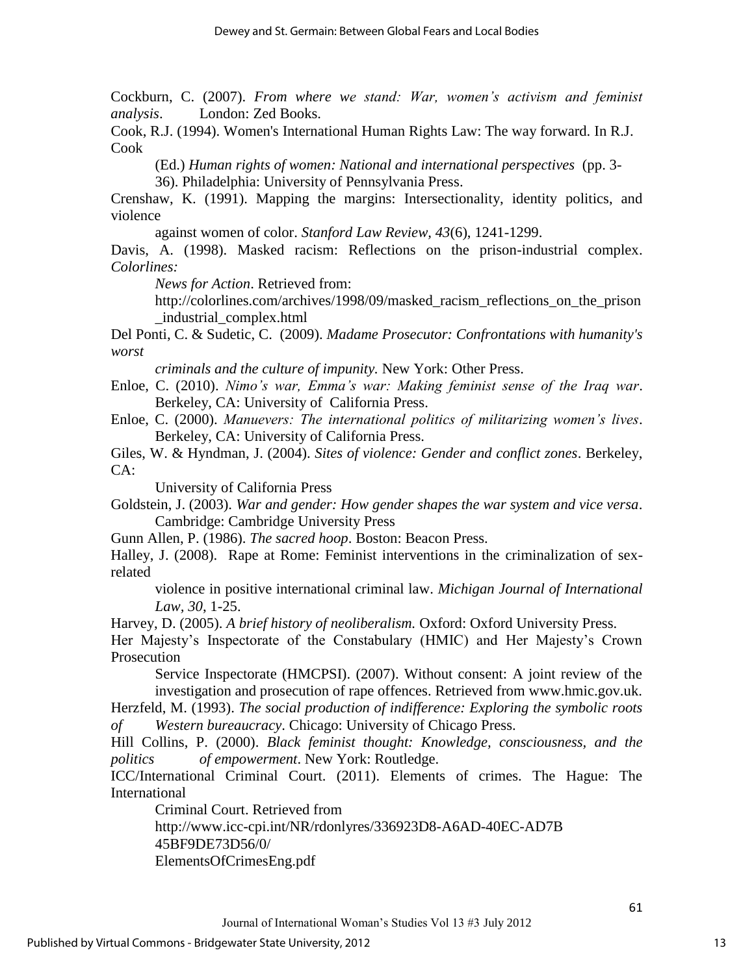Cockburn, C. (2007). *From where we stand: War, women's activism and feminist analysis*. London: Zed Books.

Cook, R.J. (1994). Women's International Human Rights Law: The way forward. In R.J. Cook

(Ed.) *Human rights of women: National and international perspectives* (pp. 3- 36). Philadelphia: University of Pennsylvania Press.

Crenshaw, K. (1991). Mapping the margins: Intersectionality, identity politics, and violence

against women of color. *Stanford Law Review, 43*(6), 1241-1299.

Davis, A. (1998). Masked racism: Reflections on the prison-industrial complex. *Colorlines:* 

*News for Action*. Retrieved from:

http://colorlines.com/archives/1998/09/masked racism\_reflections\_on\_the\_prison \_industrial\_complex.html

Del Ponti, C. & Sudetic, C. (2009). *Madame Prosecutor: Confrontations with humanity's worst* 

*criminals and the culture of impunity.* New York: Other Press.

Enloe, C. (2010). *Nimo's war, Emma's war: Making feminist sense of the Iraq war*. Berkeley, CA: University of California Press.

Enloe, C. (2000). *Manuevers: The international politics of militarizing women's lives*. Berkeley, CA: University of California Press.

Giles, W. & Hyndman, J. (2004). *Sites of violence: Gender and conflict zones*. Berkeley, CA:

University of California Press

Goldstein, J. (2003). *War and gender: How gender shapes the war system and vice versa*. Cambridge: Cambridge University Press

Gunn Allen, P. (1986). *The sacred hoop*. Boston: Beacon Press.

Halley, J. (2008). Rape at Rome: Feminist interventions in the criminalization of sexrelated

violence in positive international criminal law. *Michigan Journal of International Law, 30*, 1-25.

Harvey, D. (2005). *A brief history of neoliberalism.* Oxford: Oxford University Press.

Her Majesty's Inspectorate of the Constabulary (HMIC) and Her Majesty's Crown Prosecution

Service Inspectorate (HMCPSI). (2007). Without consent: A joint review of the investigation and prosecution of rape offences. Retrieved from www.hmic.gov.uk.

Herzfeld, M. (1993). *The social production of indifference: Exploring the symbolic roots of Western bureaucracy*. Chicago: University of Chicago Press.

Hill Collins, P. (2000). *Black feminist thought: Knowledge, consciousness, and the politics of empowerment*. New York: Routledge.

ICC/International Criminal Court. (2011). Elements of crimes. The Hague: The International

Criminal Court. Retrieved from

[http://www.icc-cpi.int/NR/rdonlyres/336923D8-A6AD-40EC-AD7B](ttp://www.icc-cpi.int/NR/rdonlyres/336923D8-A6AD-40EC-AD7B-4)  [45](ttp://www.icc-cpi.int/NR/rdonlyres/336923D8-A6AD-40EC-AD7B-4)BF9DE73D56/0/

ElementsOfCrimesEng.pdf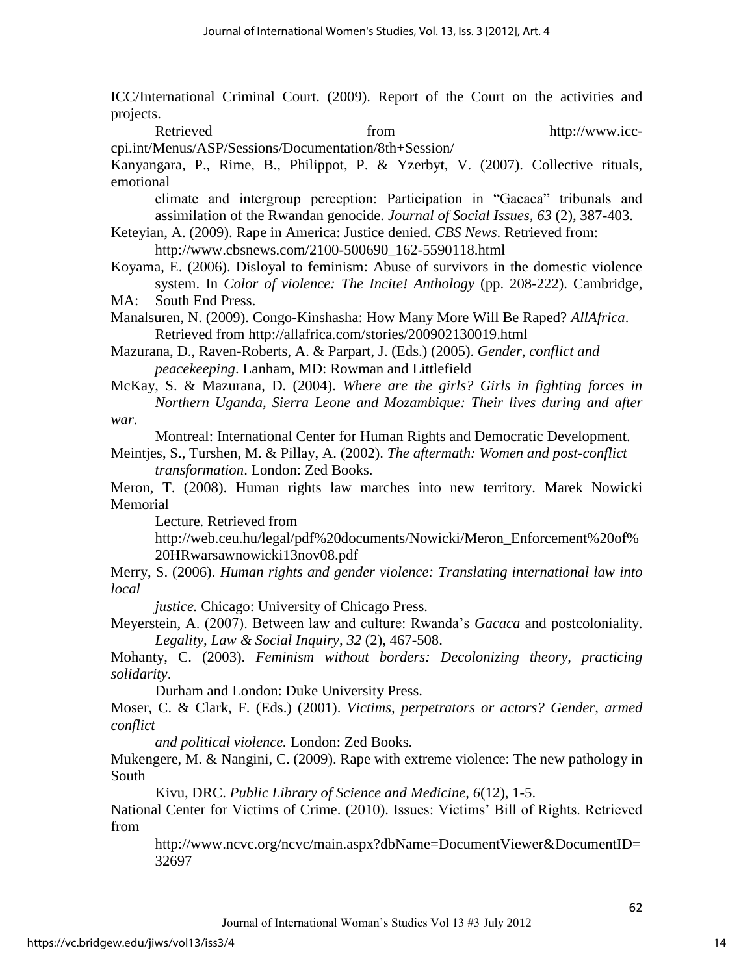ICC/International Criminal Court. (2009). Report of the Court on the activities and projects.

Retrieved from http://www.icc-

cpi.int/Menus/ASP/Sessions/Documentation/8th+Session/

Kanyangara, P., Rime, B., Philippot, P. & Yzerbyt, V. (2007). Collective rituals, emotional

climate and intergroup perception: Participation in "Gacaca" tribunals and assimilation of the Rwandan genocide. *Journal of Social Issues, 63* (2), 387-403.

Keteyian, A. (2009). Rape in America: Justice denied. *CBS News*. Retrieved from:

http://www.cbsnews.com/2100-500690\_162-5590118.html

Koyama, E. (2006). Disloyal to feminism: Abuse of survivors in the domestic violence system. In *Color of violence: The Incite! Anthology* (pp. 208-222). Cambridge, MA: South End Press.

Manalsuren, N. (2009). Congo-Kinshasha: How Many More Will Be Raped? *AllAfrica*. Retrieved from http://allafrica.com/stories/200902130019.html

Mazurana, D., Raven-Roberts, A. & Parpart, J. (Eds.) (2005). *Gender, conflict and peacekeeping*. Lanham, MD: Rowman and Littlefield

McKay, S. & Mazurana, D. (2004). *Where are the girls? Girls in fighting forces in Northern Uganda, Sierra Leone and Mozambique: Their lives during and after* 

*war*.

Montreal: International Center for Human Rights and Democratic Development.

Meintjes, S., Turshen, M. & Pillay, A. (2002). *The aftermath: Women and post-conflict transformation*. London: Zed Books.

Meron, T. (2008). Human rights law marches into new territory. Marek Nowicki Memorial

Lecture. Retrieved from

http://web.ceu.hu/legal/pdf%20documents/Nowicki/Meron\_Enforcement%20of% 20HRwarsawnowicki13nov08.pdf

Merry, S. (2006). *Human rights and gender violence: Translating international law into local* 

*justice.* Chicago: University of Chicago Press.

Meyerstein, A. (2007). Between law and culture: Rwanda"s *Gacaca* and postcoloniality. *Legality, Law & Social Inquiry, 32* (2), 467-508.

Mohanty, C. (2003). *Feminism without borders: Decolonizing theory, practicing solidarity*.

Durham and London: Duke University Press.

Moser, C. & Clark, F. (Eds.) (2001). *Victims, perpetrators or actors? Gender, armed conflict* 

*and political violence.* London: Zed Books.

Mukengere, M. & Nangini, C. (2009). Rape with extreme violence: The new pathology in South

Kivu, DRC. *Public Library of Science and Medicine, 6*(12), 1-5.

National Center for Victims of Crime. (2010). Issues: Victims" Bill of Rights. Retrieved from

http://www.ncvc.org/ncvc/main.aspx?dbName=DocumentViewer&DocumentID= 32697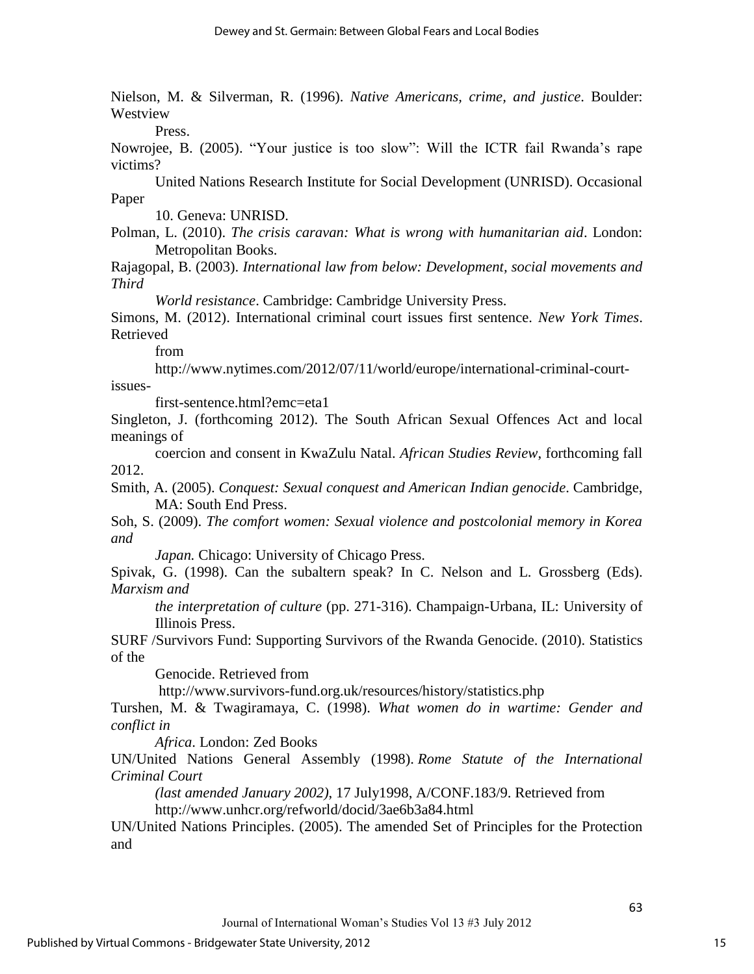Nielson, M. & Silverman, R. (1996). *Native Americans, crime, and justice*. Boulder: Westview

Press.

Nowrojee, B. (2005). "Your justice is too slow": Will the ICTR fail Rwanda"s rape victims?

United Nations Research Institute for Social Development (UNRISD). Occasional Paper

10. Geneva: UNRISD.

Polman, L. (2010). *The crisis caravan: What is wrong with humanitarian aid*. London: Metropolitan Books.

Rajagopal, B. (2003). *International law from below: Development, social movements and Third* 

*World resistance*. Cambridge: Cambridge University Press.

Simons, M. (2012). International criminal court issues first sentence. *New York Times*. Retrieved

from

[http://www.nytimes.com/2012/07/11/world/europe/international-criminal-court](http://www.nytimes.com/2012/07/11/world/europe/international-criminal-court-issues-)[issues-](http://www.nytimes.com/2012/07/11/world/europe/international-criminal-court-issues-)

first-sentence.html?emc=eta1

Singleton, J. (forthcoming 2012). The South African Sexual Offences Act and local meanings of

coercion and consent in KwaZulu Natal. *African Studies Review*, forthcoming fall 2012.

Smith, A. (2005). *Conquest: Sexual conquest and American Indian genocide*. Cambridge, MA: South End Press.

Soh, S. (2009). *The comfort women: Sexual violence and postcolonial memory in Korea and* 

*Japan.* Chicago: University of Chicago Press.

Spivak, G. (1998). Can the subaltern speak? In C. Nelson and L. Grossberg (Eds). *Marxism and* 

*the interpretation of culture* (pp. 271-316). Champaign-Urbana, IL: University of Illinois Press.

SURF /Survivors Fund: Supporting Survivors of the Rwanda Genocide. (2010). Statistics of the

Genocide. Retrieved from

http://www.survivors-fund.org.uk/resources/history/statistics.php

Turshen, M. & Twagiramaya, C. (1998). *What women do in wartime: Gender and conflict in* 

*Africa*. London: Zed Books

UN/United Nations General Assembly (1998). *Rome Statute of the International Criminal Court* 

*(last amended January 2002)*, 17 July1998, A/CONF.183/9. Retrieved from http://www.unhcr.org/refworld/docid/3ae6b3a84.html

UN/United Nations Principles. (2005). The amended Set of Principles for the Protection and